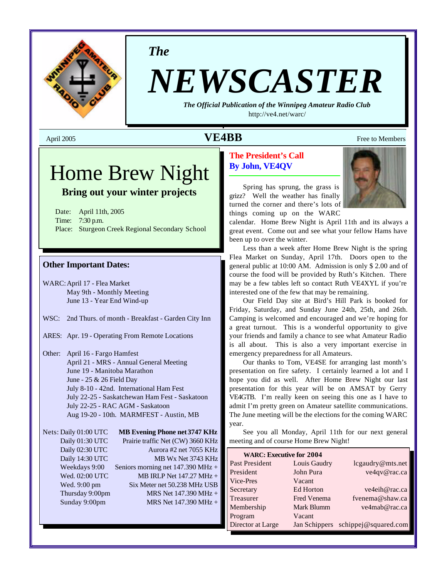

*The*

# *NEWSCASTER*

*The Official Publication of the Winnipeg Amateur Radio Club* <http://ve4.net/warc/>

## April 2005 **VE4BB** Free to Members

## Home Brew Night

## **Bring out your winter projects**

Date: April 11th, 2005 Time: 7:30 p.m. Place: Sturgeon Creek Regional Secondary School

#### **Other Important Dates:**

WARC:April 17 - Flea Market May 9th - Monthly Meeting June 13 - Year End Wind-up

- WSC: 2nd Thurs. of month Breakfast Garden City Inn
- ARES: Apr. 19 Operating From Remote Locations
- Other: April 16 Fargo Hamfest April 21 - MRS - Annual General Meeting June 19 - Manitoba Marathon June - 25 & 26 Field Day July 8-10 - 42nd. International Ham Fest July 22-25 - Saskatchewan Ham Fest - Saskatoon July 22-25 - RAC AGM - Saskatoon Aug 19-20 - 10th. MARMFEST - Austin, MB

Nets: Daily 01:00 UTC **MB Evening Phone net 3747 KHz** Daily 01:30 UTC Prairie traffic Net (CW) 3660 KHz Daily 02:30 UTC Aurora #2 net 7055 KHz Daily 14:30 UTC MB Wx Net 3743 KHz Weekdays 9:00 Seniors morning net 147.390 MHz + Wed. 02:00 UTC MB IRLP Net 147.27 MHz + Wed. 9:00 pm Six Meter net 50.238 MHz USB Thursday 9:00pm MRS Net 147.390 MHz + Sunday 9:00pm MRS Net 147.390 MHz +

#### **The President's Call By John, VE4QV**



Spring has sprung, the grass is grizz? Well the weather has finally turned the corner and there's lots of things coming up on the WARC

calendar. Home Brew Night is April 11th and its always a great event. Come out and see what your fellow Hams have been up to over the winter.

Less than a week after Home Brew Night is the spring Flea Market on Sunday, April 17th. Doors open to the general public at 10:00 AM. Admission is only \$ 2.00 and of course the food will be provided by Ruth's Kitchen. There may be a few tables left so contact Ruth VE4XYL if you're interested one of the few that may be remaining.

Our Field Day site at Bird's Hill Park is booked for Friday, Saturday, and Sunday June 24th, 25th, and 26th. Camping is welcomed and encouraged and we're hoping for a great turnout. This is a wonderful opportunity to give your friends and family a chance to see what Amateur Radio is all about. This is also a very important exercise in emergency preparedness for all Amateurs.

Our thanks to Tom, VE4SE for arranging last month's presentation on fire safety. I certainly learned a lot and I hope you did as well. After Home Brew Night our last presentation for this year will be on AMSAT by Gerry VE4GTB. I'm really keen on seeing this one as I have to admit I'm pretty green on Amateur satellite communications. The June meeting will be the elections for the coming WARC year.

See you all Monday, April 11th for our next general meeting and of course Home Brew Night!

| <b>WARC: Executive for 2004</b> |                    |                                    |
|---------------------------------|--------------------|------------------------------------|
| Past President                  | Louis Gaudry       | lcgaudry@mts.net                   |
| President                       | John Pura          | ve4qv@rac.ca                       |
| Vice-Pres                       | Vacant             |                                    |
| Secretary                       | Ed Horton          | ve4eih@rac.ca                      |
| Treasurer                       | <b>Fred Venema</b> | fvenema@shaw.ca                    |
| Membership                      | Mark Blumm         | ve4mab@rac.ca                      |
| Program                         | Vacant             |                                    |
| Director at Large               |                    | Jan Schippers schippej@squared.com |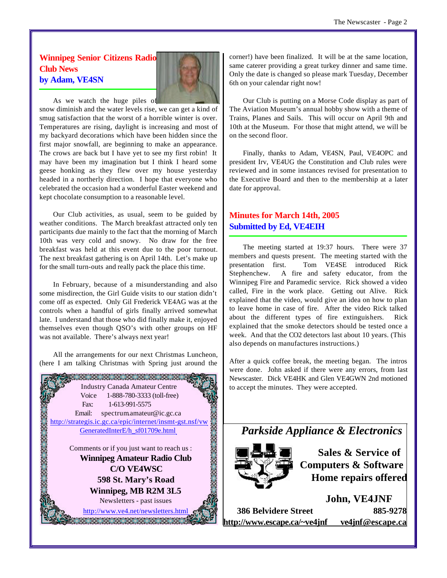#### **Winnipeg Senior Citizens Radio Club News by Adam, VE4SN**



As we watch the huge piles of

snow diminish and the water levels rise, we can get a kind of smug satisfaction that the worst of a horrible winter is over. Temperatures are rising, daylight is increasing and most of my backyard decorations which have been hidden since the first major snowfall, are beginning to make an appearance. The crows are back but I have yet to see my first robin! It may have been my imagination but I think I heard some geese honking as they flew over my house yesterday headed in a northerly direction. I hope that everyone who celebrated the occasion had a wonderful Easter weekend and kept chocolate consumption to a reasonable level.

Our Club activities, as usual, seem to be guided by weather conditions. The March breakfast attracted only ten participants due mainly to the fact that the morning of March 10th was very cold and snowy. No draw for the free breakfast was held at this event due to the poor turnout. The next breakfast gathering is on April 14th. Let's make up for the small turn-outs and really pack the place this time.

In February, because of a misunderstanding and also some misdirection, the Girl Guide visits to our station didn't come off as expected. Only Gil Frederick VE4AG was at the controls when a handful of girls finally arrived somewhat late. I understand that those who did finally make it, enjoyed themselves even though QSO's with other groups on HF was not available. There's always next year!

All the arrangements for our next Christmas Luncheon, (here I am talking Christmas with Spring just around the



corner!) have been finalized. It will be at the same location, same caterer providing a great turkey dinner and same time. Only the date is changed so please mark Tuesday, December 6th on your calendar right now!

Our Club is putting on a Morse Code display as part of The Aviation Museum's annual hobby show with a theme of Trains, Planes and Sails. This will occur on April 9th and 10th at the Museum. For those that might attend, we will be on the second floor.

Finally, thanks to Adam, VE4SN, Paul, VE4OPC and president Irv, VE4UG the Constitution and Club rules were reviewed and in some instances revised for presentation to the Executive Board and then to the membership at a later date for approval.

#### **Minutes for March 14th, 2005 Submitted by Ed, VE4EIH**

The meeting started at 19:37 hours. There were 37 members and quests present. The meeting started with the presentation first. Tom VE4SE introduced Rick Stephenchew. A fire and safety educator, from the Winnipeg Fire and Paramedic service. Rick showed a video called, Fire in the work place. Getting out Alive. Rick explained that the video, would give an idea on how to plan to leave home in case of fire. After the video Rick talked about the different types of fire extinguishers. Rick explained that the smoke detectors should be tested once a week. And that the CO2 detectors last about 10 years. (This also depends on manufactures instructions.)

After a quick coffee break, the meeting began. The intros were done. John asked if there were any errors, from last Newscaster. Dick VE4HK and Glen VE4GWN 2nd motioned to accept the minutes. They were accepted.

*Parkside Appliance & Electronics*



**Sales & Service of Computers & Software Home repairs offered**

**John, VE4JNF 386 Belvidere Street 885-9278 <http://www.escape.ca/~ve4jnf> ve4jnf@escape.ca**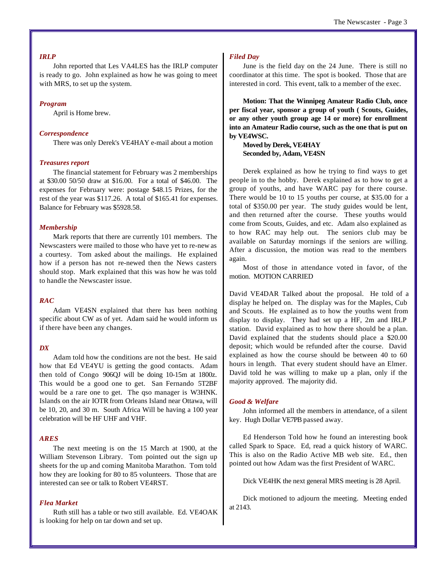#### *IRLP*

John reported that Les VA4LES has the IRLP computer is ready to go. John explained as how he was going to meet with MRS, to set up the system.

#### *Program*

April is Home brew.

#### *Correspondence*

There was only Derek's VE4HAY e-mail about a motion

#### *Treasures report*

The financial statement for February was 2 memberships at \$30.00 50/50 draw at \$16.00. For a total of \$46.00. The expenses for February were: postage \$48.15 Prizes, for the rest of the year was \$117.26. A total of \$165.41 for expenses. Balance for February was \$5928.58.

#### *Membership*

Mark reports that there are currently 101 members. The Newscasters were mailed to those who have yet to re-new as a courtesy. Tom asked about the mailings. He explained how if a person has not re-newed then the News casters should stop. Mark explained that this was how he was told to handle the Newscaster issue.

#### *RAC*

Adam VE4SN explained that there has been nothing specific about CW as of yet. Adam said he would inform us if there have been any changes.

#### *DX*

Adam told how the conditions are not the best. He said how that Ed VE4YU is getting the good contacts. Adam then told of Congo 906QJ will be doing 10-15m at 1800z. This would be a good one to get. San Fernando 5T2BF would be a rare one to get. The qso manager is W3HNK. Islands on the air IOTR from Orleans Island near Ottawa, will be 10, 20, and 30 m. South Africa Will be having a 100 year celebration will be HF UHF and VHF.

#### *ARES*

The next meeting is on the 15 March at 1900, at the William Stevenson Library. Tom pointed out the sign up sheets for the up and coming Manitoba Marathon. Tom told how they are looking for 80 to 85 volunteers. Those that are interested can see or talk to Robert VE4RST.

#### *Flea Market*

Ruth still has a table or two still available. Ed. VE4OAK is looking for help on tar down and set up.

#### *Filed Day*

June is the field day on the 24 June. There is still no coordinator at this time. The spot is booked. Those that are interested in cord. This event, talk to a member of the exec.

**Motion: That the Winnipeg Amateur Radio Club, once per fiscal year, sponsor a group of youth ( Scouts, Guides, or any other youth group age 14 or more) for enrollment into an Amateur Radio course, such as the one that is put on by VE4WSC.** 

**Moved by Derek, VE4HAY Seconded by, Adam, VE4SN**

Derek explained as how he trying to find ways to get people in to the hobby. Derek explained as to how to get a group of youths, and have WARC pay for there course. There would be 10 to 15 youths per course, at \$35.00 for a total of \$350.00 per year. The study guides would be lent, and then returned after the course. These youths would come from Scouts, Guides, and etc. Adam also explained as to how RAC may help out. The seniors club may be available on Saturday mornings if the seniors are willing. After a discussion, the motion was read to the members again.

Most of those in attendance voted in favor, of the motion. MOTION CARRIED

David VE4DAR Talked about the proposal. He told of a display he helped on. The display was for the Maples, Cub and Scouts. He explained as to how the youths went from display to display. They had set up a HF, 2m and IRLP station. David explained as to how there should be a plan. David explained that the students should place a \$20.00 deposit; which would be refunded after the course. David explained as how the course should be between 40 to 60 hours in length. That every student should have an Elmer. David told he was willing to make up a plan, only if the majority approved. The majority did.

#### *Good & Welfare*

John informed all the members in attendance, of a silent key. Hugh Dollar VE7PB passed away.

Ed Henderson Told how he found an interesting book called Spark to Space. Ed, read a quick history of WARC. This is also on the Radio Active MB web site. Ed., then pointed out how Adam was the first President of WARC.

Dick VE4HK the next general MRS meeting is 28 April.

Dick motioned to adjourn the meeting. Meeting ended at 2143.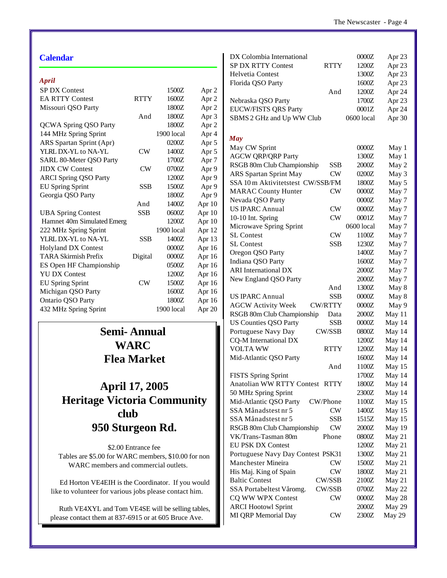#### **Calendar**

#### *April*

| Apru                         |             |            |                  |
|------------------------------|-------------|------------|------------------|
| <b>SP DX Contest</b>         |             | 1500Z      | Apr 2            |
| <b>EA RTTY Contest</b>       | <b>RTTY</b> | 1600Z      | Apr <sub>2</sub> |
| Missouri QSO Party           |             | 1800Z      | Apr <sub>2</sub> |
|                              | And         | 1800Z      | Apr <sub>3</sub> |
| <b>QCWA Spring QSO Party</b> |             | 1800Z      | Apr <sub>2</sub> |
| 144 MHz Spring Sprint        |             | 1900 local | Apr 4            |
| ARS Spartan Sprint (Apr)     |             | 0200Z      | Apr 5            |
| YLRL DX-YL to NA-YL          | CW          | 1400Z      | Apr 5            |
| SARL 80-Meter QSO Party      |             | 1700Z      | Apr <sub>7</sub> |
| <b>JIDX CW Contest</b>       | CW          | 0700Z      | Apr 9            |
| <b>ARCI Spring QSO Party</b> |             | 1200Z      | Apr 9            |
| <b>EU Spring Sprint</b>      | SSB         | 1500Z      | Apr 9            |
| Georgia QSO Party            |             | 1800Z      | Apr 9            |
|                              | And         | 1400Z      | Apr 10           |
| <b>UBA Spring Contest</b>    | <b>SSB</b>  | 0600Z      | Apr 10           |
| Hamnet 40m Simulated Emerg   |             | 1200Z      | Apr 10           |
| 222 MHz Spring Sprint        |             | 1900 local | Apr 12           |
| YLRL DX-YL to NA-YL          | SSB         | 1400Z      | Apr 13           |
| <b>Holyland DX Contest</b>   |             | 0000Z      | Apr 16           |
| <b>TARA Skirmish Prefix</b>  | Digital     | 0000Z      | Apr 16           |
| ES Open HF Championship      |             | 0500Z      | Apr 16           |
| <b>YU DX Contest</b>         |             | 1200Z      | Apr 16           |
| <b>EU Spring Sprint</b>      | CW          | 1500Z      | Apr 16           |
| Michigan QSO Party           |             | 1600Z      | Apr 16           |
| Ontario QSO Party            |             | 1800Z      | Apr 16           |
| 432 MHz Spring Sprint        |             | 1900 local | Apr 20           |
|                              |             |            |                  |

## **Semi- Annual WARC Flea Market**

## **April 17, 2005 Heritage Victoria Community club 950 Sturgeon Rd.**

\$2.00 Entrance fee Tables are \$5.00 for WARC members, \$10.00 for non WARC members and commercial outlets.

 Ed Horton VE4EIH is the Coordinator. If you would like to volunteer for various jobs please contact him.

Ruth VE4XYL and Tom VE4SE will be selling tables, please contact them at 837-6915 or at 605 Bruce Ave.

| DX Colombia International         |                | 0000Z      | Apr 23 |
|-----------------------------------|----------------|------------|--------|
| <b>SP DX RTTY Contest</b>         | <b>RTTY</b>    | 1200Z      | Apr 23 |
| Helvetia Contest                  |                | 1300Z      | Apr 23 |
| Florida QSO Party                 |                | 1600Z      | Apr 23 |
|                                   | And            | 1200Z      | Apr 24 |
| Nebraska QSO Party                |                | 1700Z      | Apr 23 |
| <b>EUCW/FISTS QRS Party</b>       |                | 0001Z      | Apr 24 |
| SBMS 2 GHz and Up WW Club         |                | 0600 local | Apr 30 |
|                                   |                |            |        |
| <b>May</b>                        |                |            |        |
| May CW Sprint                     |                | 0000Z      | May 1  |
| <b>AGCW QRP/QRP Party</b>         |                | 1300Z      | May 1  |
| RSGB 80m Club Championship        | SSB            | 2000Z      | May 2  |
| ARS Spartan Sprint May            | CW             | 0200Z      | May 3  |
| SSA 10 m Aktivitetstest CW/SSB/FM |                | 1800Z      | May 5  |
| <b>MARAC County Hunter</b>        | CW             | 0000Z      | May 7  |
| Nevada QSO Party                  |                | 0000Z      | May 7  |
| <b>US IPARC Annual</b>            | $\text{CW}$    | 0000Z      | May 7  |
| 10-10 Int. Spring                 | <b>CW</b>      | 0001Z      | May 7  |
| Microwave Spring Sprint           |                | 0600 local | May 7  |
| <b>SL Contest</b>                 | <b>CW</b>      | 1100Z      | May 7  |
| <b>SL Contest</b>                 | <b>SSB</b>     |            |        |
|                                   |                | 1230Z      | May 7  |
| Oregon QSO Party                  |                | 1400Z      | May 7  |
| Indiana QSO Party                 |                | 1600Z      | May 7  |
| <b>ARI</b> International DX       |                | 2000Z      | May 7  |
| New England QSO Party             |                | 2000Z      | May 7  |
|                                   | And            | 1300Z      | May 8  |
| <b>US IPARC Annual</b>            | <b>SSB</b>     | 0000Z      | May 8  |
| <b>AGCW Activity Week</b>         | <b>CW/RTTY</b> | 0000Z      | May 9  |
| RSGB 80m Club Championship        | Data           | 2000Z      | May 11 |
| <b>US Counties QSO Party</b>      | <b>SSB</b>     | 0000Z      | May 14 |
| Portuguese Navy Day               | CW/SSB         | 0800Z      | May 14 |
| CQ-M International DX             |                | 1200Z      | May 14 |
| <b>VOLTA WW</b>                   | <b>RTTY</b>    | 1200Z      | May 14 |
| Mid-Atlantic QSO Party            |                | 1600Z      | May 14 |
|                                   | And            | 1100Z      | May 15 |
| <b>FISTS Spring Sprint</b>        |                | 1700Z      | May 14 |
| Anatolian WW RTTY Contest RTTY    |                | 1800Z      | May 14 |
| 50 MHz Spring Sprint              |                | 2300Z      | May 14 |
| Mid-Atlantic QSO Party            | CW/Phone       | 1100Z      | May 15 |
| SSA Månadstest nr 5               | ${\rm\bf CW}$  | 1400Z      | May 15 |
| SSA Månadstest nr 5               | SSB            | 1515Z      | May 15 |
| RSGB 80m Club Championship        | CW             | 2000Z      | May 19 |
| VK/Trans-Tasman 80m               | Phone          | 0800Z      | May 21 |
| <b>EU PSK DX Contest</b>          |                | 1200Z      | May 21 |
| Portuguese Navy Day Contest PSK31 |                | 1300Z      | May 21 |
| Manchester Mineira                | CW             | 1500Z      | May 21 |
| His Maj. King of Spain            | CW             | 1800Z      | May 21 |
| <b>Baltic Contest</b>             | CW/SSB         | 2100Z      | May 21 |
| SSA Portabeltest Våromg.          | CW/SSB         | 0700Z      | May 22 |
| CQ WW WPX Contest                 | CW             | 0000Z      |        |
|                                   |                |            | May 28 |
| <b>ARCI Hootowl Sprint</b>        |                | 2000Z      | May 29 |
| MI QRP Memorial Day               | <b>CW</b>      | 2300Z      | May 29 |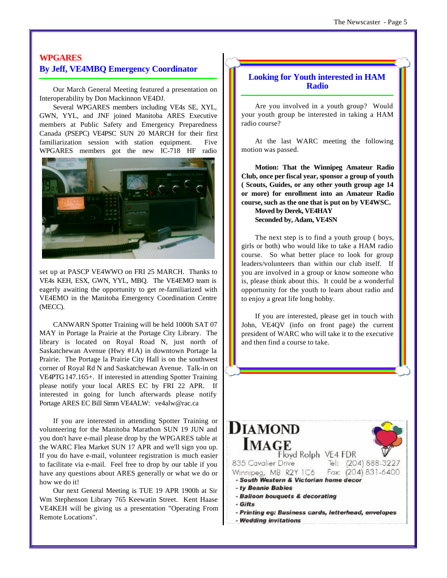#### **WPGARES By Jeff, VE4MBQ Emergency Coordinator**

Our March General Meeting featured a presentation on Interoperability by Don Mackinnon VE4DJ.

Several WPGARES members including VE4s SE, XYL, GWN, YYL, and JNF joined Manitoba ARES Executive members at Public Safety and Emergency Preparedness Canada (PSEPC) VE4PSC SUN 20 MARCH for their first familiarization session with station equipment. Five WPGARES members got the new IC-718 HF radio



set up at PASCP VE4WWO on FRI 25 MARCH. Thanks to VE4s KEH, ESX, GWN, YYL, MBQ. The VE4EMO team is eagerly awaiting the opportunity to get re-familiarized with VE4EMO in the Manitoba Emergency Coordination Centre (MECC).

CANWARN Spotter Training will be held 1000h SAT 07 MAY in Portage la Prairie at the Portage City Library. The library is located on Royal Road N, just north of Saskatchewan Avenue (Hwy #1A) in downtown Portage la Prairie. The Portage la Prairie City Hall is on the southwest corner of Royal Rd N and Saskatchewan Avenue. Talk-in on VE4PTG 147.165+. If interested in attending Spotter Training please notify your local ARES EC by FRI 22 APR. If interested in going for lunch afterwards please notify Portage ARES EC Bill Simm VE4ALW: ve4alw@rac.ca

If you are interested in attending Spotter Training or volunteering for the Manitoba Marathon SUN 19 JUN and you don't have e-mail please drop by the WPGARES table at the WARC Flea Market SUN 17 APR and we'll sign you up. If you do have e-mail, volunteer registration is much easier to facilitate via e-mail. Feel free to drop by our table if you have any questions about ARES generally or what we do or how we do it!

Our next General Meeting is TUE 19 APR 1900h at Sir Wm Stephenson Library 765 Keewatin Street. Kent Haase VE4KEH will be giving us a presentation "Operating From Remote Locations".

#### **Looking for Youth interested in HAM Radio**

Are you involved in a youth group? Would your youth group be interested in taking a HAM radio course?

At the last WARC meeting the following motion was passed.

**Motion: That the Winnipeg Amateur Radio Club, once per fiscal year, sponsor a group of youth ( Scouts, Guides, or any other youth group age 14 or more) for enrollment into an Amateur Radio course, such as the one that is put on by VE4WSC.** 

**Moved by Derek, VE4HAY Seconded by, Adam, VE4SN**

The next step is to find a youth group ( boys, girls or both) who would like to take a HAM radio course. So what better place to look for group leaders/volunteers than within our club itself. If you are involved in a group or know someone who is, please think about this. It could be a wonderful opportunity for the youth to learn about radio and to enjoy a great life long hobby.

If you are interested, please get in touch with John, VE4QV (info on front page) the current president of WARC who will take it to the executive and then find a course to take.

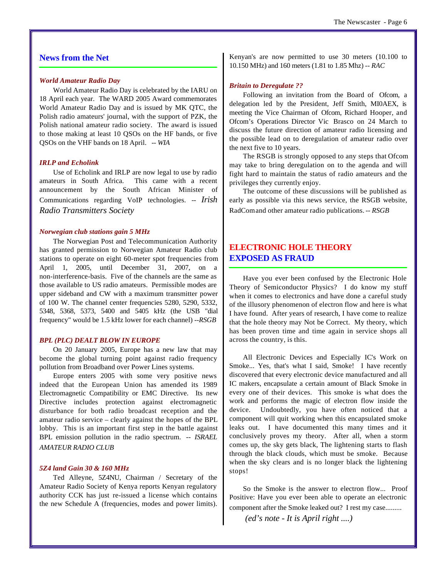#### **News from the Net**

#### *World Amateur Radio Day*

World Amateur Radio Day is celebrated by the IARU on 18 April each year. The WARD 2005 Award commemorates World Amateur Radio Day and is issued by MK QTC, the Polish radio amateurs' journal, with the support of PZK, the Polish national amateur radio society. The award is issued to those making at least 10 QSOs on the HF bands, or five QSOs on the VHF bands on 18 April. *-- WIA*

#### *IRLP and Echolink*

Use of Echolink and IRLP are now legal to use by radio amateurs in South Africa. This came with a recent announcement by the South African Minister of Communications regarding VoIP technologies. *-- Irish Radio Transmitters Society* 

#### *Norwegian club stations gain 5 MHz*

The Norwegian Post and Telecommunication Authority has granted permission to Norwegian Amateur Radio club stations to operate on eight 60-meter spot frequencies from April 1, 2005, until December 31, 2007, on a non-interference-basis. Five of the channels are the same as those available to US radio amateurs. Permissible modes are upper sideband and CW with a maximum transmitter power of 100 W. The channel center frequencies 5280, 5290, 5332, 5348, 5368, 5373, 5400 and 5405 kHz (the USB "dial frequency" would be 1.5 kHz lower for each channel) *--RSGB*

#### *BPL (PLC) DEALT BLOW IN EUROPE*

On 20 January 2005, Europe has a new law that may become the global turning point against radio frequency pollution from Broadband over Power Lines systems.

Europe enters 2005 with some very positive news indeed that the European Union has amended its 1989 Electromagnetic Compatibility or EMC Directive. Its new Directive includes protection against electromagnetic disturbance for both radio broadcast reception and the amateur radio service – clearly against the hopes of the BPL lobby. This is an important first step in the battle against BPL emission pollution in the radio spectrum. *-- ISRAEL AMATEUR RADIO CLUB*

#### *5Z4 land Gain 30 & 160 MHz*

Ted Alleyne, 5Z4NU, Chairman / Secretary of the Amateur Radio Society of Kenya reports Kenyan regulatory authority CCK has just re-issued a license which contains the new Schedule A (frequencies, modes and power limits). Kenyan's are now permitted to use 30 meters (10.100 to 10.150 MHz) and 160 meters (1.81 to 1.85 Mhz) *-- RAC*

#### *Britain to Deregulate ??*

Following an invitation from the Board of Ofcom, a delegation led by the President, Jeff Smith, MI0AEX, is meeting the Vice Chairman of Ofcom, Richard Hooper, and Ofcom's Operations Director Vic Brasco on 24 March to discuss the future direction of amateur radio licensing and the possible lead on to deregulation of amateur radio over the next five to 10 years.

The RSGB is strongly opposed to any steps that Ofcom may take to bring deregulation on to the agenda and will fight hard to maintain the status of radio amateurs and the privileges they currently enjoy.

The outcome of these discussions will be published as early as possible via this news service, the RSGB website, RadCom and other amateur radio publications. *-- RSGB*

#### **ELECTRONIC HOLE THEORY EXPOSED AS FRAUD**

Have you ever been confused by the Electronic Hole Theory of Semiconductor Physics? I do know my stuff when it comes to electronics and have done a careful study of the illusory phenomenon of electron flow and here is what I have found. After years of research, I have come to realize that the hole theory may Not be Correct. My theory, which has been proven time and time again in service shops all across the country, is this.

All Electronic Devices and Especially IC's Work on Smoke... Yes, that's what I said, Smoke! I have recently discovered that every electronic device manufactured and all IC makers, encapsulate a certain amount of Black Smoke in every one of their devices. This smoke is what does the work and performs the magic of electron flow inside the device. Undoubtedly, you have often noticed that a component will quit working when this encapsulated smoke leaks out. I have documented this many times and it conclusively proves my theory. After all, when a storm comes up, the sky gets black, The lightening starts to flash through the black clouds, which must be smoke. Because when the sky clears and is no longer black the lightening stops!

So the Smoke is the answer to electron flow... Proof Positive: Have you ever been able to operate an electronic component after the Smoke leaked out? I rest my case.........

*(ed's note - It is April right ....)*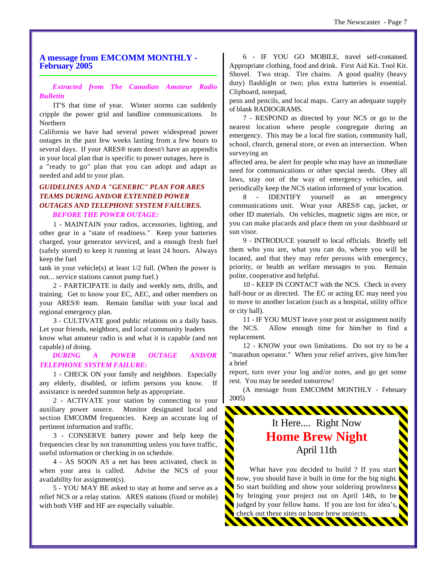#### **A message from EMCOMM MONTHLY - February 2005**

*Extracted from The Canadian Amateur Radio Bulletin*

IT'S that time of year. Winter storms can suddenly cripple the power grid and landline communications. In Northern

California we have had several power widespread power outages in the past few weeks lasting from a few hours to several days. If your ARES® team doesn't have an appendix in your local plan that is specific to power outages, here is

a "ready to go" plan that you can adopt and adapt as needed and add to your plan.

#### *GUIDELINES AND A "GENERIC" PLAN FOR ARES TEAMS DURING AND/OR EXTENDED POWER OUTAGES AND TELEPHONE SYSTEM FAILURES. BEFORE THE POWER OUTAGE:*

1 - MAINTAIN your radios, accessories, lighting, and other gear in a "state of readiness." Keep your batteries charged, your generator serviced, and a enough fresh fuel (safely stored) to keep it running at least 24 hours. Always keep the fuel

tank in your vehicle(s) at least 1/2 full. (When the power is out... service stations cannot pump fuel.)

2 - PARTICIPATE in daily and weekly nets, drills, and training. Get to know your EC, AEC, and other members on your ARES® team. Remain familiar with your local and regional emergency plan.

3 - CULTIVATE good public relations on a daily basis. Let your friends, neighbors, and local community leaders know what amateur radio is and what it is capable (and not

capable) of doing. *DURING A POWER OUTAGE AND/OR*

## *TELEPHONE SYSTEM FAILURE:*

1 - CHECK ON your family and neighbors. Especially any elderly, disabled, or infirm persons you know. If assistance is needed summon help as appropriate.

2 - ACTIVATE your station by connecting to your auxiliary power source. Monitor designated local and section EMCOMM frequencies. Keep an accurate log of pertinent information and traffic.

3 - CONSERVE battery power and help keep the frequencies clear by not transmitting unless you have traffic, useful information or checking in on schedule.

4 - AS SOON AS a net has been activated, check in when your area is called. Advise the NCS of your availability for assignment(s).

5 - YOU MAY BE asked to stay at home and serve as a relief NCS or a relay station. ARES stations (fixed or mobile) with both VHF and HF are especially valuable.

6 - IF YOU GO MOBILE, travel self-contained. Appropriate clothing, food and drink. First Aid Kit. Tool Kit. Shovel. Two strap. Tire chains. A good quality (heavy duty) flashlight or two; plus extra batteries is essential. Clipboard, notepad,

pens and pencils, and local maps. Carry an adequate supply of blank RADIOGRAMS.

7 - RESPOND as directed by your NCS or go to the nearest location where people congregate during an emergency. This may be a local fire station, community hall, school, church, general store, or even an intersection. When surveying an

affected area, be alert for people who may have an immediate need for communications or other special needs. Obey all laws, stay out of the way of emergency vehicles, and periodically keep the NCS station informed of your location.

8 - IDENTIFY yourself as an emergency communications unit. Wear your ARES® cap, jacket, or other ID materials. On vehicles, magnetic signs are nice, or you can make placards and place them on your dashboard or sun visor.

9 - INTRODUCE yourself to local officials. Briefly tell them who you are, what you can do, where you will be located, and that they may refer persons with emergency, priority, or health an welfare messages to you. Remain polite, cooperative and helpful.

10 - KEEP IN CONTACT with the NCS. Check in every half-hour or as directed. The EC or acting EC may need you to move to another location (such as a hospital, utility office or city hall).

11 - IF YOU MUST leave your post or assignment notify the NCS. Allow enough time for him/her to find a replacement.

12 - KNOW your own limitations. Do not try to be a "marathon operator." When your relief arrives, give him/her a brief

report, turn over your log and/or notes, and go get some rest. You may be needed tomorrow!

(A message from EMCOMM MONTHLY - February 2005)

\*\*\*\*\*\*\*\*\*\*\*\*\*\*\*\*\*\*\*\*\*\*\*\*\*\*\*\*\*\*

## It Here.... Right Now **Home Brew Night** April 11th

What have you decided to build ? If you start now, you should have it built in time for the big night. So start building and show your soldering prowlness by bringing your project out on April 14th, to be judged by your fellow hams. If you are lost for idea's, check out these sites on home brew projects.

<u> KANANA KA</u>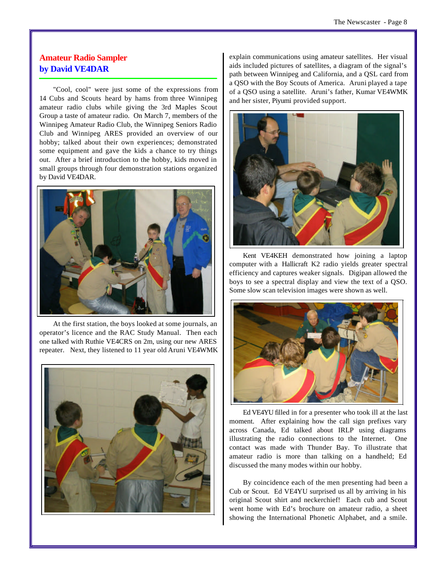#### **Amateur Radio Sampler by David VE4DAR**

"Cool, cool" were just some of the expressions from 14 Cubs and Scouts heard by hams from three Winnipeg amateur radio clubs while giving the 3rd Maples Scout Group a taste of amateur radio. On March 7, members of the Winnipeg Amateur Radio Club, the Winnipeg Seniors Radio Club and Winnipeg ARES provided an overview of our hobby; talked about their own experiences; demonstrated some equipment and gave the kids a chance to try things out. After a brief introduction to the hobby, kids moved in small groups through four demonstration stations organized by David VE4DAR.



At the first station, the boys looked at some journals, an operator's licence and the RAC Study Manual. Then each one talked with Ruthie VE4CRS on 2m, using our new ARES repeater. Next, they listened to 11 year old Aruni VE4WMK



explain communications using amateur satellites. Her visual aids included pictures of satellites, a diagram of the signal's path between Winnipeg and California, and a QSL card from a QSO with the Boy Scouts of America. Aruni played a tape of a QSO using a satellite. Aruni's father, Kumar VE4WMK and her sister, Piyumi provided support.



Kent VE4KEH demonstrated how joining a laptop computer with a Hallicraft K2 radio yields greater spectral efficiency and captures weaker signals. Digipan allowed the boys to see a spectral display and view the text of a QSO. Some slow scan television images were shown as well.



Ed VE4YU filled in for a presenter who took ill at the last moment. After explaining how the call sign prefixes vary across Canada, Ed talked about IRLP using diagrams illustrating the radio connections to the Internet. One contact was made with Thunder Bay. To illustrate that amateur radio is more than talking on a handheld; Ed discussed the many modes within our hobby.

By coincidence each of the men presenting had been a Cub or Scout. Ed VE4YU surprised us all by arriving in his original Scout shirt and neckerchief! Each cub and Scout went home with Ed's brochure on amateur radio, a sheet showing the International Phonetic Alphabet, and a smile.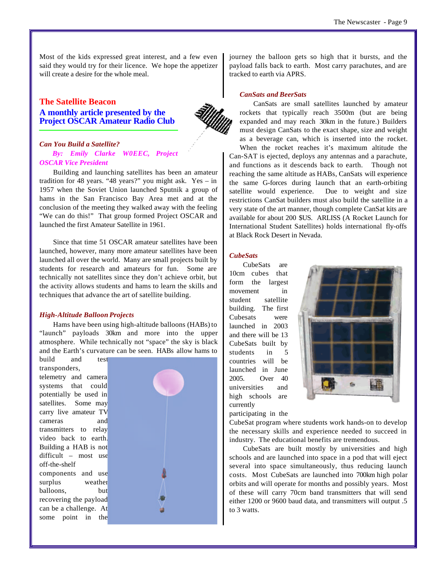Most of the kids expressed great interest, and a few even said they would try for their licence. We hope the appetizer will create a desire for the whole meal.

#### **The Satellite Beacon A monthly article presented by the Project OSCAR Amateur Radio Club**



#### *Can You Build a Satellite? By: Emily Clarke W0EEC, Project OSCAR Vice President*

Building and launching satellites has been an amateur tradition for 48 years. "48 years?" you might ask. Yes – in 1957 when the Soviet Union launched Sputnik a group of hams in the San Francisco Bay Area met and at the conclusion of the meeting they walked away with the feeling "We can do this!" That group formed Project OSCAR and launched the first Amateur Satellite in 1961.

Since that time 51 OSCAR amateur satellites have been launched, however, many more amateur satellites have been launched all over the world. Many are small projects built by students for research and amateurs for fun. Some are technically not satellites since they don't achieve orbit, but the activity allows students and hams to learn the skills and techniques that advance the art of satellite building.

#### *High-Altitude Balloon Projects*

Hams have been using high-altitude balloons (HABs) to "launch" payloads 30km and more into the upper atmosphere. While technically not "space" the sky is black and the Earth's curvature can be seen. HABs allow hams to

build and test transponders, telemetry and camera systems that could potentially be used in satellites. Some may carry live amateur TV cameras and transmitters to relay video back to earth. Building a HAB is not difficult – most use off-the-shelf components and use surplus weather balloons, but recovering the payload can be a challenge. At some point in the



journey the balloon gets so high that it bursts, and the payload falls back to earth. Most carry parachutes, and are tracked to earth via APRS.

#### *CanSats and BeerSats*

CanSats are small satellites launched by amateur rockets that typically reach 3500m (but are being expanded and may reach 30km in the future.) Builders must design CanSats to the exact shape, size and weight as a beverage can, which is inserted into the rocket. When the rocket reaches it's maximum altitude the Can-SAT is ejected, deploys any antennas and a parachute,

and functions as it descends back to earth. Though not reaching the same altitude as HABs, CanSats will experience the same G-forces during launch that an earth-orbiting satellite would experience. Due to weight and size restrictions CanSat builders must also build the satellite in a very state of the art manner, though complete CanSat kits are available for about 200 \$US. ARLISS (A Rocket Launch for International Student Satellites) holds international fly-offs at Black Rock Desert in Nevada.

#### *CubeSats*

CubeSats are 10cm cubes that form the largest movement in student satellite building. The first Cubesats were launched in 2003 and there will be 13 CubeSats built by students in 5 countries will be launched in June 2005. Over 40 universities and high schools are currently

participating in the



CubeSat program where students work hands-on to develop the necessary skills and experience needed to succeed in industry. The educational benefits are tremendous.

CubeSats are built mostly by universities and high schools and are launched into space in a pod that will eject several into space simultaneously, thus reducing launch costs. Most CubeSats are launched into 700km high polar orbits and will operate for months and possibly years. Most of these will carry 70cm band transmitters that will send either 1200 or 9600 baud data, and transmitters will output .5 to 3 watts.